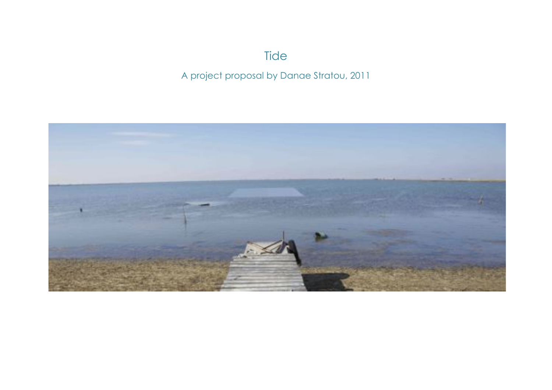# **Tide**

# A project proposal by Danae Stratou, 2011

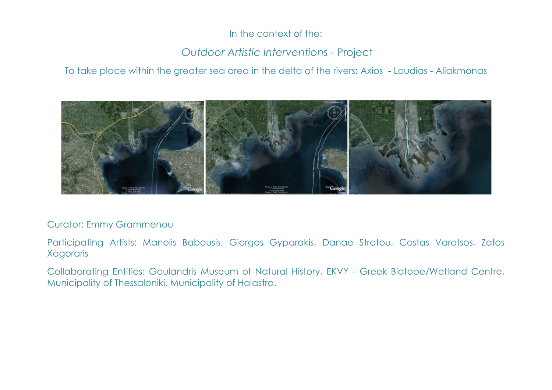### In the context of the:

# *Outdoor Artistic Interventions* - Project

To take place within the greater sea area in the delta of the rivers: Axios - Loudias - Aliakmonas



#### Curator: Emmy Grammenou

Participating Artists: Manolis Babousis, Giorgos Gyparakis, Danae Stratou, Costas Varotsos, Zafos Xagoraris

Collaborating Entities: Goulandris Museum of Natural History, EKVY - Greek Biotope/Wetland Centre, Municipality of Thessaloniki, Municipality of Halastra.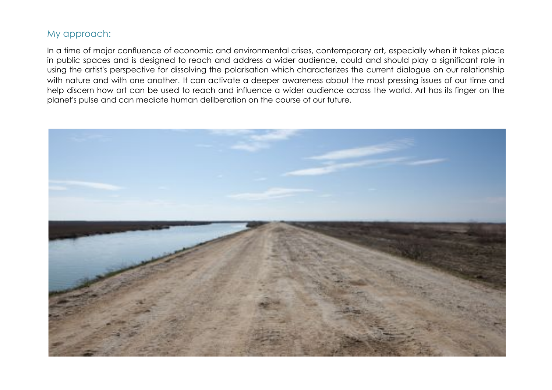#### My approach:

In a time of major confluence of economic and environmental crises, contemporary art**,** especially when it takes place in public spaces and is designed to reach and address a wider audience, could and should play a significant role in using the artist's perspective for dissolving the polarisation which characterizes the current dialogue on our relationship with nature and with one another. It can activate a deeper awareness about the most pressing issues of our time and help discern how art can be used to reach and influence a wider audience across the world. Art has its finger on the planet's pulse and can mediate human deliberation on the course of our future.

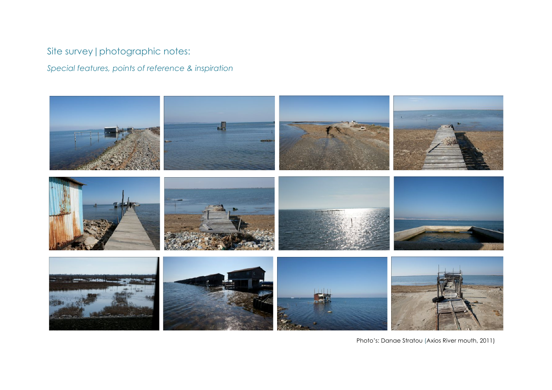# Site survey|photographic notes:

*Special features, points of reference & inspiration*



Photo's: Danae Stratou (Axios River mouth, 2011)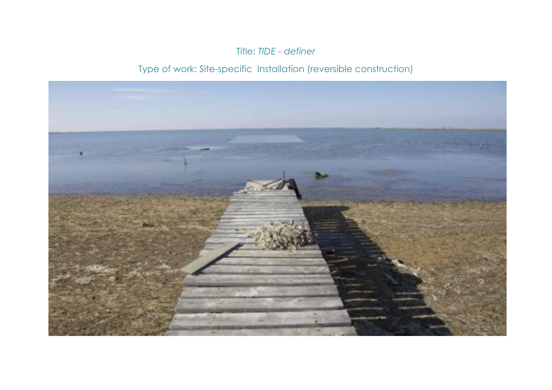### Title: *TIDE - definer*

# Type of work: Site-specific Installation (reversible construction)

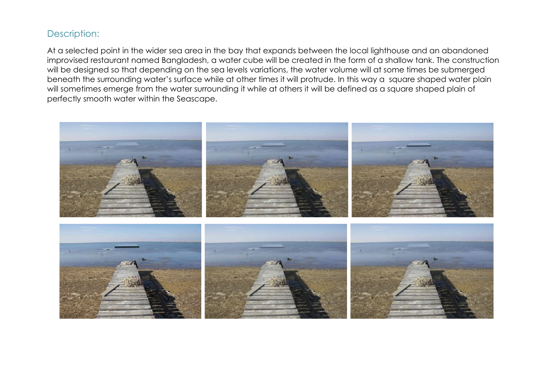### Description:

At a selected point in the wider sea area in the bay that expands between the local lighthouse and an abandoned improvised restaurant named Bangladesh, a water cube will be created in the form of a shallow tank. The construction will be designed so that depending on the sea levels variations, the water volume will at some times be submerged beneath the surrounding water's surface while at other times it will protrude. In this way a square shaped water plain will sometimes emerge from the water surrounding it while at others it will be defined as a square shaped plain of perfectly smooth water within the Seascape.

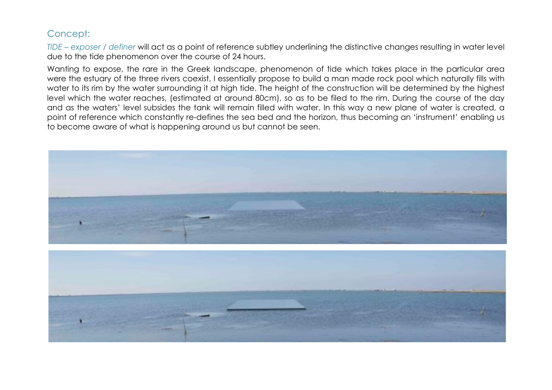#### Concept:

*TIDE – exposer / definer* will act as a point of reference subtley underlining the distinctive changes resulting in water level due to the tide phenomenon over the course of 24 hours.

Wanting to expose, the rare in the Greek landscape, phenomenon of tide which takes place in the particular area were the estuary of the three rivers coexist, I essentially propose to build a man made rock pool which naturally fills with water to its rim by the water surrounding it at high tide. The height of the construction will be determined by the highest level which the water reaches, (estimated at around 80cm), so as to be filed to the rim. During the course of the day and as the waters' level subsides the tank will remain filled with water. In this way a new plane of water is created, a point of reference which constantly re-defines the sea bed and the horizon, thus becoming an 'instrument' enabling us to become aware of what is happening around us but cannot be seen.